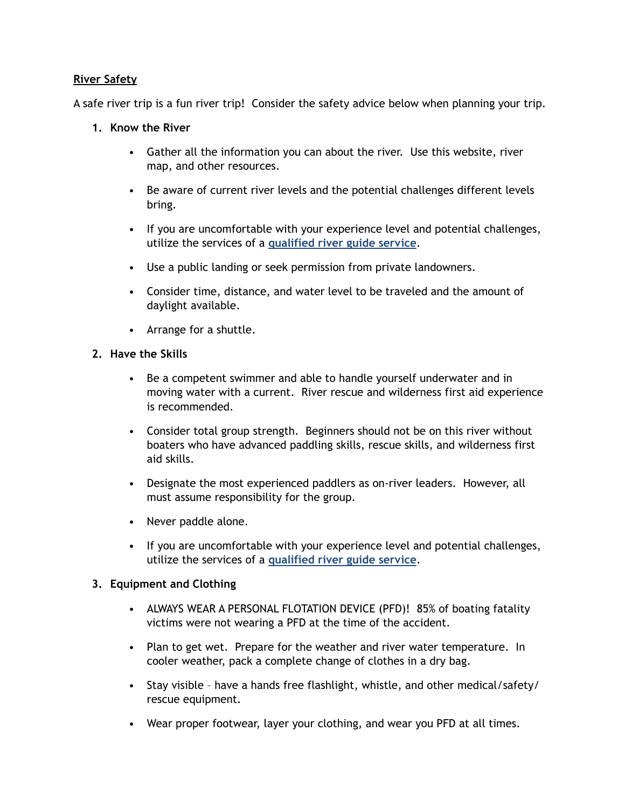### **River Safety**

A safe river trip is a fun river trip! Consider the safety advice below when planning your trip.

### **1. Know the River**

- Gather all the information you can about the river. Use this website, river map, and other resources.
- Be aware of current river levels and the potential challenges different levels bring.
- If you are uncomfortable with your experience level and potential challenges, utilize the services of a **qualified river guide service**.
- Use a public landing or seek permission from private landowners.
- Consider time, distance, and water level to be traveled and the amount of daylight available.
- Arrange for a shuttle.

## **2. Have the Skills**

- Be a competent swimmer and able to handle yourself underwater and in moving water with a current. River rescue and wilderness first aid experience is recommended.
- Consider total group strength. Beginners should not be on this river without boaters who have advanced paddling skills, rescue skills, and wilderness first aid skills.
- Designate the most experienced paddlers as on-river leaders. However, all must assume responsibility for the group.
- Never paddle alone.
- If you are uncomfortable with your experience level and potential challenges, utilize the services of a **qualified river guide service**.

# **3. Equipment and Clothing**

- ALWAYS WEAR A PERSONAL FLOTATION DEVICE (PFD)! 85% of boating fatality victims were not wearing a PFD at the time of the accident.
- Plan to get wet. Prepare for the weather and river water temperature. In cooler weather, pack a complete change of clothes in a dry bag.
- Stay visible have a hands free flashlight, whistle, and other medical/safety/ rescue equipment.
- Wear proper footwear, layer your clothing, and wear you PFD at all times.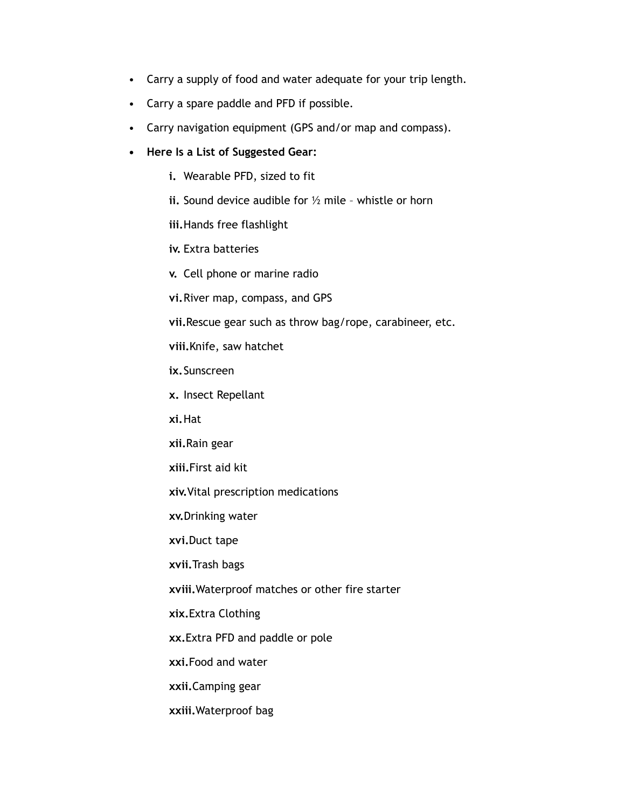- Carry a supply of food and water adequate for your trip length.
- Carry a spare paddle and PFD if possible.
- Carry navigation equipment (GPS and/or map and compass).
- **• Here Is a List of Suggested Gear:** 
	- **i.** Wearable PFD, sized to fit
	- **ii.** Sound device audible for ½ mile whistle or horn
	- **iii.**Hands free flashlight
	- **iv.** Extra batteries
	- **v.** Cell phone or marine radio
	- **vi.**River map, compass, and GPS
	- **vii.**Rescue gear such as throw bag/rope, carabineer, etc.
	- **viii.**Knife, saw hatchet
	- **ix.**Sunscreen
	- **x.** Insect Repellant
	- **xi.**Hat
	- **xii.**Rain gear
	- **xiii.**First aid kit
	- **xiv.**Vital prescription medications
	- **xv.**Drinking water
	- **xvi.**Duct tape
	- **xvii.**Trash bags
	- **xviii.**Waterproof matches or other fire starter
	- **xix.**Extra Clothing
	- **xx.**Extra PFD and paddle or pole
	- **xxi.**Food and water
	- **xxii.**Camping gear
	- **xxiii.**Waterproof bag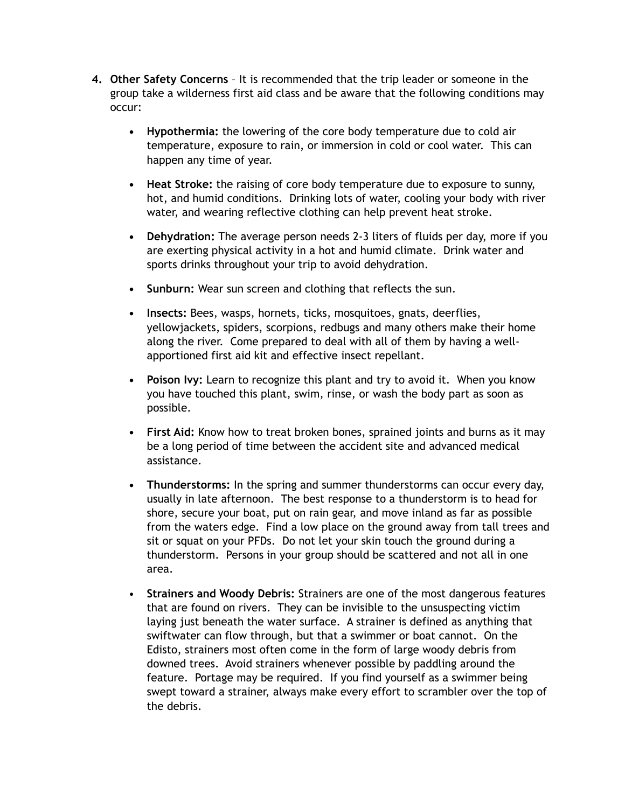- **4. Other Safety Concerns** It is recommended that the trip leader or someone in the group take a wilderness first aid class and be aware that the following conditions may occur:
	- **• Hypothermia:** the lowering of the core body temperature due to cold air temperature, exposure to rain, or immersion in cold or cool water. This can happen any time of year.
	- **• Heat Stroke:** the raising of core body temperature due to exposure to sunny, hot, and humid conditions. Drinking lots of water, cooling your body with river water, and wearing reflective clothing can help prevent heat stroke.
	- **• Dehydration:** The average person needs 2-3 liters of fluids per day, more if you are exerting physical activity in a hot and humid climate. Drink water and sports drinks throughout your trip to avoid dehydration.
	- **• Sunburn:** Wear sun screen and clothing that reflects the sun.
	- **• Insects:** Bees, wasps, hornets, ticks, mosquitoes, gnats, deerflies, yellowjackets, spiders, scorpions, redbugs and many others make their home along the river. Come prepared to deal with all of them by having a wellapportioned first aid kit and effective insect repellant.
	- **• Poison Ivy:** Learn to recognize this plant and try to avoid it. When you know you have touched this plant, swim, rinse, or wash the body part as soon as possible.
	- **• First Aid:** Know how to treat broken bones, sprained joints and burns as it may be a long period of time between the accident site and advanced medical assistance.
	- **• Thunderstorms:** In the spring and summer thunderstorms can occur every day, usually in late afternoon. The best response to a thunderstorm is to head for shore, secure your boat, put on rain gear, and move inland as far as possible from the waters edge. Find a low place on the ground away from tall trees and sit or squat on your PFDs. Do not let your skin touch the ground during a thunderstorm. Persons in your group should be scattered and not all in one area.
	- **Strainers and Woody Debris:** Strainers are one of the most dangerous features that are found on rivers. They can be invisible to the unsuspecting victim laying just beneath the water surface. A strainer is defined as anything that swiftwater can flow through, but that a swimmer or boat cannot. On the Edisto, strainers most often come in the form of large woody debris from downed trees. Avoid strainers whenever possible by paddling around the feature. Portage may be required. If you find yourself as a swimmer being swept toward a strainer, always make every effort to scrambler over the top of the debris.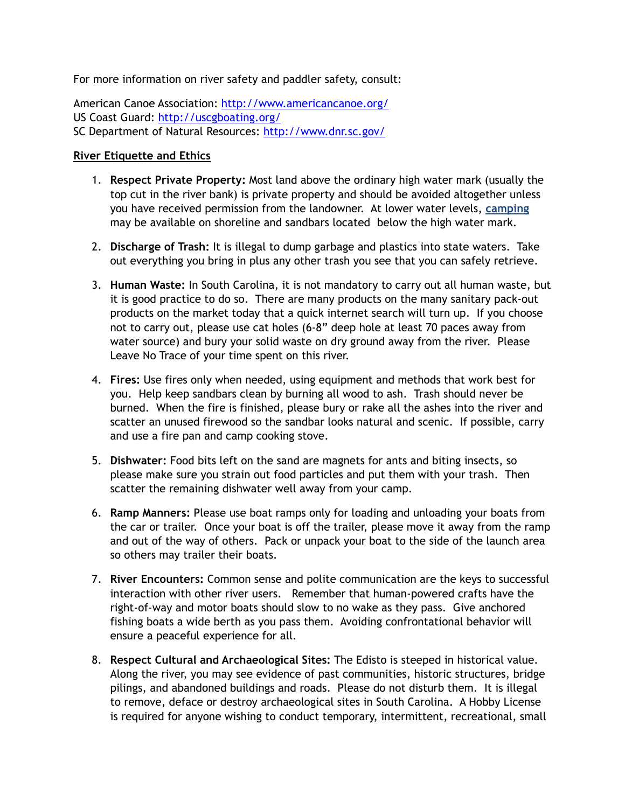For more information on river safety and paddler safety, consult:

American Canoe Association: <http://www.americancanoe.org/> US Coast Guard:<http://uscgboating.org/> SC Department of Natural Resources:<http://www.dnr.sc.gov/>

#### **River Etiquette and Ethics**

- 1. **Respect Private Property:** Most land above the ordinary high water mark (usually the top cut in the river bank) is private property and should be avoided altogether unless you have received permission from the landowner. At lower water levels, **camping**  may be available on shoreline and sandbars located below the high water mark.
- 2. **Discharge of Trash:** It is illegal to dump garbage and plastics into state waters. Take out everything you bring in plus any other trash you see that you can safely retrieve.
- 3. **Human Waste:** In South Carolina, it is not mandatory to carry out all human waste, but it is good practice to do so. There are many products on the many sanitary pack-out products on the market today that a quick internet search will turn up. If you choose not to carry out, please use cat holes (6-8" deep hole at least 70 paces away from water source) and bury your solid waste on dry ground away from the river. Please Leave No Trace of your time spent on this river.
- 4. **Fires:** Use fires only when needed, using equipment and methods that work best for you. Help keep sandbars clean by burning all wood to ash. Trash should never be burned. When the fire is finished, please bury or rake all the ashes into the river and scatter an unused firewood so the sandbar looks natural and scenic. If possible, carry and use a fire pan and camp cooking stove.
- 5. **Dishwater:** Food bits left on the sand are magnets for ants and biting insects, so please make sure you strain out food particles and put them with your trash. Then scatter the remaining dishwater well away from your camp.
- 6. **Ramp Manners:** Please use boat ramps only for loading and unloading your boats from the car or trailer. Once your boat is off the trailer, please move it away from the ramp and out of the way of others. Pack or unpack your boat to the side of the launch area so others may trailer their boats.
- 7. **River Encounters:** Common sense and polite communication are the keys to successful interaction with other river users. Remember that human-powered crafts have the right-of-way and motor boats should slow to no wake as they pass. Give anchored fishing boats a wide berth as you pass them. Avoiding confrontational behavior will ensure a peaceful experience for all.
- 8. **Respect Cultural and Archaeological Sites:** The Edisto is steeped in historical value. Along the river, you may see evidence of past communities, historic structures, bridge pilings, and abandoned buildings and roads. Please do not disturb them. It is illegal to remove, deface or destroy archaeological sites in South Carolina. A Hobby License is required for anyone wishing to conduct temporary, intermittent, recreational, small